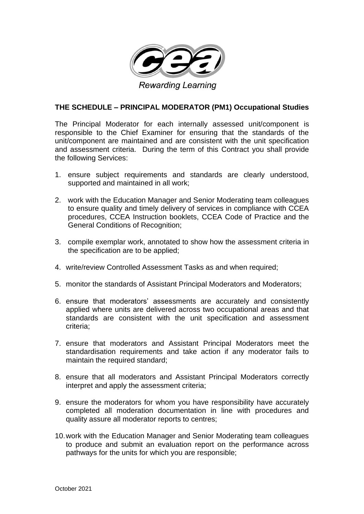

## **THE SCHEDULE – PRINCIPAL MODERATOR (PM1) Occupational Studies**

The Principal Moderator for each internally assessed unit/component is responsible to the Chief Examiner for ensuring that the standards of the unit/component are maintained and are consistent with the unit specification and assessment criteria. During the term of this Contract you shall provide the following Services:

- 1. ensure subject requirements and standards are clearly understood, supported and maintained in all work;
- 2. work with the Education Manager and Senior Moderating team colleagues to ensure quality and timely delivery of services in compliance with CCEA procedures, CCEA Instruction booklets, CCEA Code of Practice and the General Conditions of Recognition;
- 3. compile exemplar work, annotated to show how the assessment criteria in the specification are to be applied;
- 4. write/review Controlled Assessment Tasks as and when required;
- 5. monitor the standards of Assistant Principal Moderators and Moderators;
- 6. ensure that moderators' assessments are accurately and consistently applied where units are delivered across two occupational areas and that standards are consistent with the unit specification and assessment criteria;
- 7. ensure that moderators and Assistant Principal Moderators meet the standardisation requirements and take action if any moderator fails to maintain the required standard;
- 8. ensure that all moderators and Assistant Principal Moderators correctly interpret and apply the assessment criteria;
- 9. ensure the moderators for whom you have responsibility have accurately completed all moderation documentation in line with procedures and quality assure all moderator reports to centres;
- 10.work with the Education Manager and Senior Moderating team colleagues to produce and submit an evaluation report on the performance across pathways for the units for which you are responsible;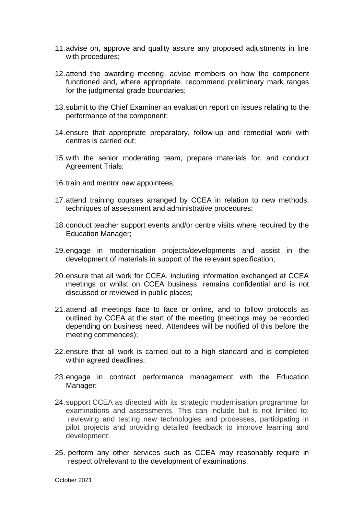- 11.advise on, approve and quality assure any proposed adjustments in line with procedures;
- 12.attend the awarding meeting, advise members on how the component functioned and, where appropriate, recommend preliminary mark ranges for the judgmental grade boundaries;
- 13.submit to the Chief Examiner an evaluation report on issues relating to the performance of the component;
- 14.ensure that appropriate preparatory, follow-up and remedial work with centres is carried out;
- 15.with the senior moderating team, prepare materials for, and conduct Agreement Trials;
- 16.train and mentor new appointees;
- 17.attend training courses arranged by CCEA in relation to new methods, techniques of assessment and administrative procedures;
- 18.conduct teacher support events and/or centre visits where required by the Education Manager;
- 19.engage in modernisation projects/developments and assist in the development of materials in support of the relevant specification;
- 20.ensure that all work for CCEA, including information exchanged at CCEA meetings or whilst on CCEA business, remains confidential and is not discussed or reviewed in public places;
- 21.attend all meetings face to face or online, and to follow protocols as outlined by CCEA at the start of the meeting (meetings may be recorded depending on business need. Attendees will be notified of this before the meeting commences);
- 22.ensure that all work is carried out to a high standard and is completed within agreed deadlines;
- 23.engage in contract performance management with the Education Manager;
- 24.support CCEA as directed with its strategic modernisation programme for examinations and assessments. This can include but is not limited to: reviewing and testing new technologies and processes, participating in pilot projects and providing detailed feedback to improve learning and development;
- 25. perform any other services such as CCEA may reasonably require in respect of/relevant to the development of examinations.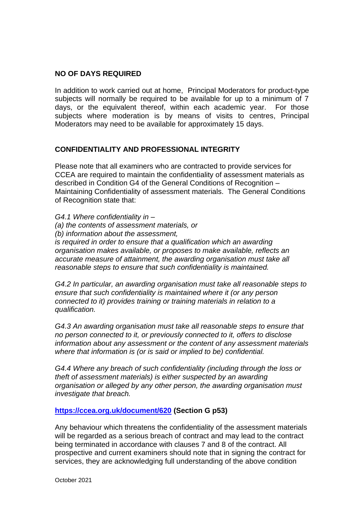## **NO OF DAYS REQUIRED**

In addition to work carried out at home, Principal Moderators for product-type subjects will normally be required to be available for up to a minimum of 7 days, or the equivalent thereof, within each academic year. For those subjects where moderation is by means of visits to centres, Principal Moderators may need to be available for approximately 15 days.

## **CONFIDENTIALITY AND PROFESSIONAL INTEGRITY**

Please note that all examiners who are contracted to provide services for CCEA are required to maintain the confidentiality of assessment materials as described in Condition G4 of the General Conditions of Recognition – Maintaining Confidentiality of assessment materials. The General Conditions of Recognition state that:

*G4.1 Where confidentiality in – (a) the contents of assessment materials, or (b) information about the assessment, is required in order to ensure that a qualification which an awarding organisation makes available, or proposes to make available, reflects an accurate measure of attainment, the awarding organisation must take all reasonable steps to ensure that such confidentiality is maintained.* 

*G4.2 In particular, an awarding organisation must take all reasonable steps to ensure that such confidentiality is maintained where it (or any person connected to it) provides training or training materials in relation to a qualification.* 

*G4.3 An awarding organisation must take all reasonable steps to ensure that no person connected to it, or previously connected to it, offers to disclose information about any assessment or the content of any assessment materials where that information is (or is said or implied to be) confidential.* 

*G4.4 Where any breach of such confidentiality (including through the loss or theft of assessment materials) is either suspected by an awarding organisation or alleged by any other person, the awarding organisation must investigate that breach.*

**<https://ccea.org.uk/document/620> (Section G p53)**

Any behaviour which threatens the confidentiality of the assessment materials will be regarded as a serious breach of contract and may lead to the contract being terminated in accordance with clauses 7 and 8 of the contract. All prospective and current examiners should note that in signing the contract for services, they are acknowledging full understanding of the above condition